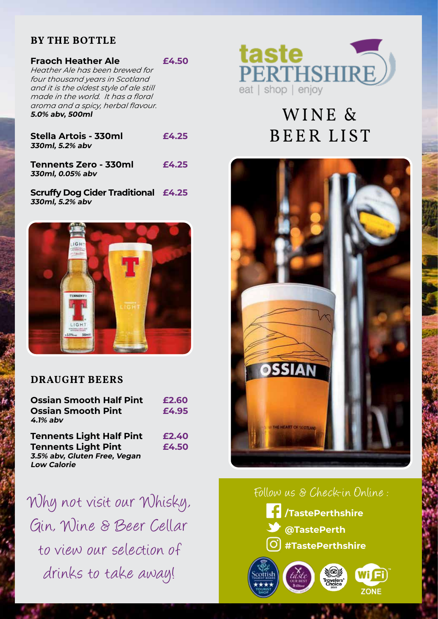# **BY THE BOTTLE**

| <b>Fraoch Heather Ale</b>               | £4.50 |
|-----------------------------------------|-------|
| Heather Ale has been brewed for         |       |
| four thousand years in Scotland         |       |
| and it is the oldest style of ale still |       |
| made in the world. It has a floral      |       |
| aroma and a spicy, herbal flavour.      |       |
| 5.0% abv, 500ml                         |       |
|                                         |       |

| Stella Artois - 330ml | £4.25 |
|-----------------------|-------|
| 330ml, 5.2% abv       |       |
|                       |       |

**Tennents Zero - 330ml £4.25 330ml, 0.05% abv**

**Scruffy Dog Cider Traditional £4.25 330ml, 5.2% abv**



# **DRAUGHT BEERS**

| <b>Ossian Smooth Half Pint</b><br><b>Ossian Smooth Pint</b><br>$4.1\%$ abv | £2.60<br>£4.95 |
|----------------------------------------------------------------------------|----------------|
| <b>Tennents Light Half Pint</b>                                            | £2.40          |
| <b>Tennents Light Pint</b>                                                 | £4.50          |
| 3.5% abv, Gluten Free, Vegan                                               |                |
| <b>Low Calorie</b>                                                         |                |

Why not visit our Whisky, **FINISH:** Gin, Wine & Beer Cellar to view our selection of drinks to take away! **Smooth, refreshing, moreish Abvicit our Millichul** Wine & Beer Ce<br>iew our selection ion on solociion<br>iks to take awai

in the ale category



# WINE & BEER LIST



# Follow us & Check-in Online : **30L Keg (S Type).**

**/TastePerthshire @TastePerth #TastePerthshire Ideal**  $\begin{pmatrix}\n\sqrt{c_0}\n\sqrt{c_0}\n\sqrt{c_0}\n\sqrt{c_0}\n\sqrt{c_0}\n\sqrt{c_0}\n\sqrt{c_0}\n\sqrt{c_0}\n\sqrt{c_0}\n\sqrt{c_0}\n\sqrt{c_0}\n\sqrt{c_0}\n\sqrt{c_0}\n\sqrt{c_0}\n\sqrt{c_0}\n\sqrt{c_0}\n\sqrt{c_0}\n\sqrt{c_0}\n\sqrt{c_0}\n\sqrt{c_0}\n\sqrt{c_0}\n\sqrt{c_0}\n\sqrt{c_0}\n\sqrt{c_0}\n\sqrt{c_0}\n\sqrt{c_0}\n\sqrt{c_$ de Perth<br>e Perthshire<br>Gold David David